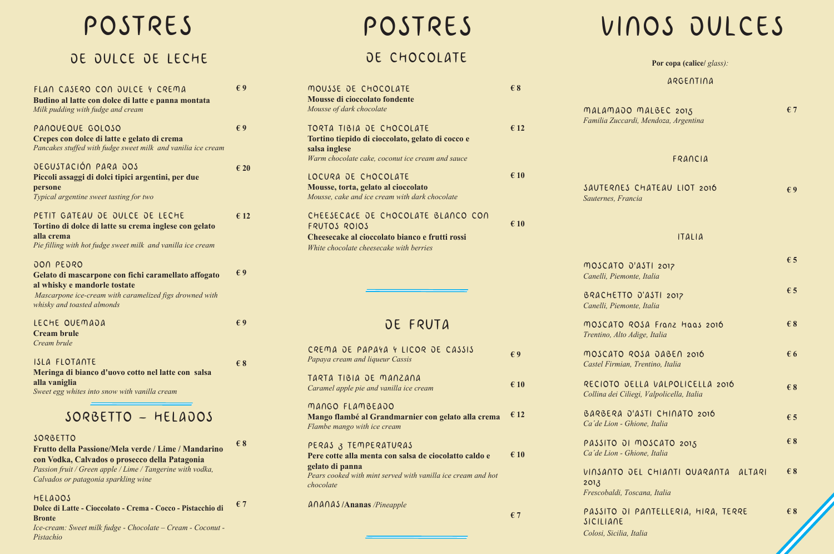malamad *Familia Zuccardi, Mendoza, Argentina*

SAUTERNE *Sauternes, Fr* 

**MOSCATO** *Canelli, Pien* 

BRACHET<sup>-</sup> *Canelli, Pien* 

HELADOS **Dolce di Latte - Cioccolato - Crema - Cocco - Pistacchio di Bronte € 7**

*Ice-cream: Sweet milk fudge - Chocolate – Cream - Coconut - Pistachio*

**MOSCATO** *Trentino, Alto Adige, Italia*

**MOSCATO** *Castel Firmid* 

RECIOTO *Collina dei Ciliegi, Valpolicella, Italia*

BARBERA Ca'de Lion -

PASSITO Ca'de Lion -

VINSANTO 2013  $Frescobaldi,$ 

PASSITO SICILIANE *Colosi, Sicilia, Italia* 

| FLAN CASERO CON OULCE Y CREMA<br>Budino al latte con dolce di latte e panna montata<br>Milk pudding with fudge and cream                                                                                                | $\epsilon$ 9  |
|-------------------------------------------------------------------------------------------------------------------------------------------------------------------------------------------------------------------------|---------------|
| PANQUEQUE GOLOSO<br>Crepes con dolce di latte e gelato di crema<br>Pancakes stuffed with fudge sweet milk and vanilia ice cream                                                                                         | $\epsilon$ 9  |
| DEGUSTACIÓN PARA DOS<br>Piccoli assaggi di dolci tipici argentini, per due<br>persone<br>Typical argentine sweet tasting for two                                                                                        | $\epsilon$ 20 |
| PETIT GATEAU DE DULCE DE LECHE<br>Tortino di dolce di latte su crema inglese con gelato<br>alla crema<br>Pie filling with hot fudge sweet milk and vanilla ice cream                                                    | $\epsilon$ 12 |
| <b>JON PEJRO</b><br>Gelato di mascarpone con fichi caramellato affogato<br>al whisky e mandorle tostate<br>Mascarpone ice-cream with caramelized figs drowned with<br>whisky and toasted almonds                        | $\epsilon$ 9  |
| LECHE QUEMADA<br><b>Cream brule</b><br>Cream brule                                                                                                                                                                      | $\epsilon$ 9  |
| ISLA FLOTANTE<br>Meringa di bianco d'uovo cotto nel latte con salsa<br>alla vaniglia<br>Sweet egg whites into snow with vanilla cream                                                                                   | $\epsilon$ 8  |
| SORBETTO - HELADOS                                                                                                                                                                                                      |               |
| SORBETTO<br>Frutto della Passione/Mela verde / Lime / Mandarino<br>con Vodka, Calvados o prosecco della Patagonia<br>Passion fruit / Green apple / Lime / Tangerine with vodka,<br>Calvados or patagonia sparkling wine | $\epsilon$ 8  |

| MOUSSE DE CHOCOLATE<br><b>Mousse di cioccolato fondente</b><br>Mousse of dark chocolate                                                                                       | $\epsilon$ 8  |
|-------------------------------------------------------------------------------------------------------------------------------------------------------------------------------|---------------|
| TORTA TIBIA DE CHOCOLATE<br>Tortino tiepido di cioccolato, gelato di cocco e<br>salsa inglese<br>Warm chocolate cake, coconut ice cream and sauce                             | $\epsilon$ 12 |
| LOCURA DE CHOCOLATE<br>Mousse, torta, gelato al cioccolato<br>Mousse, cake and ice cream with dark chocolate                                                                  | $\epsilon$ 10 |
| CHEESECALE DE CHOCOLATE BLANCO CON<br>FRUTOS ROIOS<br>Cheesecake al cioccolato bianco e frutti rossi<br>White chocolate cheesecake with berries                               | $\epsilon$ 10 |
| DE FRUTA                                                                                                                                                                      |               |
| CREMA DE PAPAYA Y LICOR DE CASSIS<br>Papaya cream and liqueur Cassis                                                                                                          | $\epsilon$ 9  |
| TARTA TIBIA DE MANZANA<br>Caramel apple pie and vanilla ice cream                                                                                                             | $\epsilon$ 10 |
| MANGO FLAMBEADO<br>Mango flambé al Grandmarnier con gelato alla crema<br>Flambe mango with ice cream                                                                          | $\epsilon$ 12 |
| PERAS 3 TEMPERATURAS<br>Pere cotte alla menta con salsa de ciocolatto caldo e<br>gelato di panna<br>Pears cooked with mint served with vanilla ice cream and hot<br>chocolate | $\epsilon$ 10 |
| $A\cap A\cap A$ /Ananas / <i>Pineapple</i>                                                                                                                                    | $\epsilon$ 7  |

| Por copa (calice/ glass):                               |              |
|---------------------------------------------------------|--------------|
| ARGENTINA                                               |              |
| O MALBEC 2015<br>ardi, Mendoza, Argentina               | €7           |
| FRANCIA                                                 |              |
| S CHATEAU LIOT 2016<br>rancia                           | $\epsilon$ 9 |
| ITALIA                                                  |              |
| O'ASTI 2017<br>ionte, Italia                            | $\epsilon$ 5 |
| <b>70 0'ASTI 2017</b><br>ionte, Italia                  | $\epsilon$ 5 |
| ROSA Franz Haas 2016<br>o Adige, Italia                 | $\epsilon$ 8 |
| ROSA DABEN 2016<br>an, Trentino, Italia                 | € 6          |
| OELLA VALPOLICELLA 2016<br>iliegi, Valpolicella, Italia | $\epsilon$ 8 |
| O'ASTI CHINATO 2016<br>Ghione, Italia                   | $\epsilon$ 5 |
| )I MOSCATO 2015<br>Ghione, Italia                       | $\epsilon$ 8 |
| OEL CHIANTI QUARANTA ALTARI<br>Toscana, Italia          | $\epsilon$ 8 |
| DI PANTELLERIA, HIRA, TERRE                             | $\epsilon$ 8 |

## POSTRES POSTRES VINOS DULCES

### DE DULCE DE LECHE

## DE CHOCOLATE